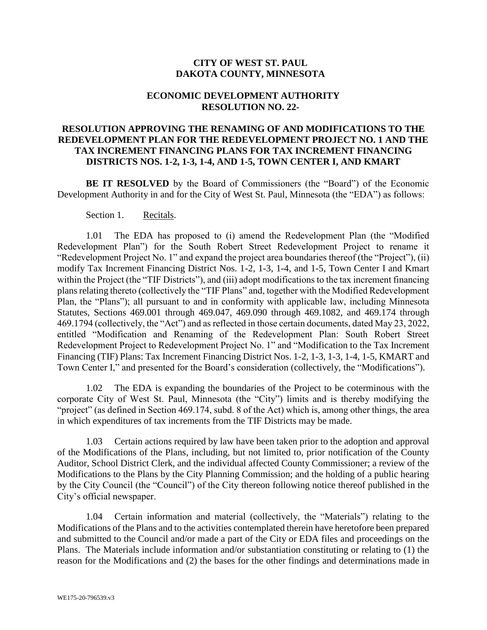## **CITY OF WEST ST. PAUL DAKOTA COUNTY, MINNESOTA**

## **ECONOMIC DEVELOPMENT AUTHORITY RESOLUTION NO. 22-**

## **RESOLUTION APPROVING THE RENAMING OF AND MODIFICATIONS TO THE REDEVELOPMENT PLAN FOR THE REDEVELOPMENT PROJECT NO. 1 AND THE TAX INCREMENT FINANCING PLANS FOR TAX INCREMENT FINANCING DISTRICTS NOS. 1-2, 1-3, 1-4, AND 1-5, TOWN CENTER I, AND KMART**

**BE IT RESOLVED** by the Board of Commissioners (the "Board") of the Economic Development Authority in and for the City of West St. Paul, Minnesota (the "EDA") as follows:

Section 1. Recitals.

1.01 The EDA has proposed to (i) amend the Redevelopment Plan (the "Modified Redevelopment Plan") for the South Robert Street Redevelopment Project to rename it "Redevelopment Project No. 1" and expand the project area boundaries thereof (the "Project"), (ii) modify Tax Increment Financing District Nos. 1-2, 1-3, 1-4, and 1-5, Town Center I and Kmart within the Project (the "TIF Districts"), and (iii) adopt modifications to the tax increment financing plans relating thereto (collectively the "TIF Plans" and, together with the Modified Redevelopment Plan, the "Plans"); all pursuant to and in conformity with applicable law, including Minnesota Statutes, Sections 469.001 through 469.047, 469.090 through 469.1082, and 469.174 through 469.1794 (collectively, the "Act") and as reflected in those certain documents, dated May 23, 2022, entitled "Modification and Renaming of the Redevelopment Plan: South Robert Street Redevelopment Project to Redevelopment Project No. 1" and "Modification to the Tax Increment Financing (TIF) Plans: Tax Increment Financing District Nos. 1-2, 1-3, 1-3, 1-4, 1-5, KMART and Town Center I," and presented for the Board's consideration (collectively, the "Modifications").

1.02 The EDA is expanding the boundaries of the Project to be coterminous with the corporate City of West St. Paul, Minnesota (the "City") limits and is thereby modifying the "project" (as defined in Section 469.174, subd. 8 of the Act) which is, among other things, the area in which expenditures of tax increments from the TIF Districts may be made.

1.03 Certain actions required by law have been taken prior to the adoption and approval of the Modifications of the Plans, including, but not limited to, prior notification of the County Auditor, School District Clerk, and the individual affected County Commissioner; a review of the Modifications to the Plans by the City Planning Commission; and the holding of a public hearing by the City Council (the "Council") of the City thereon following notice thereof published in the City's official newspaper.

1.04 Certain information and material (collectively, the "Materials") relating to the Modifications of the Plans and to the activities contemplated therein have heretofore been prepared and submitted to the Council and/or made a part of the City or EDA files and proceedings on the Plans. The Materials include information and/or substantiation constituting or relating to (1) the reason for the Modifications and (2) the bases for the other findings and determinations made in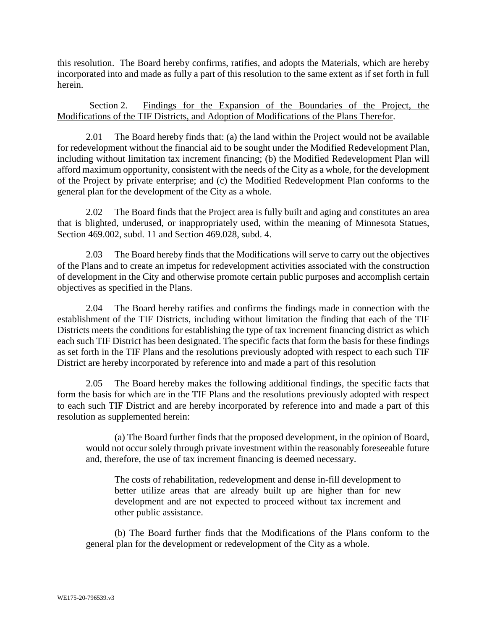this resolution. The Board hereby confirms, ratifies, and adopts the Materials, which are hereby incorporated into and made as fully a part of this resolution to the same extent as if set forth in full herein.

Section 2. Findings for the Expansion of the Boundaries of the Project, the Modifications of the TIF Districts, and Adoption of Modifications of the Plans Therefor.

2.01 The Board hereby finds that: (a) the land within the Project would not be available for redevelopment without the financial aid to be sought under the Modified Redevelopment Plan, including without limitation tax increment financing; (b) the Modified Redevelopment Plan will afford maximum opportunity, consistent with the needs of the City as a whole, for the development of the Project by private enterprise; and (c) the Modified Redevelopment Plan conforms to the general plan for the development of the City as a whole.

2.02 The Board finds that the Project area is fully built and aging and constitutes an area that is blighted, underused, or inappropriately used, within the meaning of Minnesota Statues, Section 469.002, subd. 11 and Section 469.028, subd. 4.

2.03 The Board hereby finds that the Modifications will serve to carry out the objectives of the Plans and to create an impetus for redevelopment activities associated with the construction of development in the City and otherwise promote certain public purposes and accomplish certain objectives as specified in the Plans.

2.04 The Board hereby ratifies and confirms the findings made in connection with the establishment of the TIF Districts, including without limitation the finding that each of the TIF Districts meets the conditions for establishing the type of tax increment financing district as which each such TIF District has been designated. The specific facts that form the basis for these findings as set forth in the TIF Plans and the resolutions previously adopted with respect to each such TIF District are hereby incorporated by reference into and made a part of this resolution

2.05 The Board hereby makes the following additional findings, the specific facts that form the basis for which are in the TIF Plans and the resolutions previously adopted with respect to each such TIF District and are hereby incorporated by reference into and made a part of this resolution as supplemented herein:

(a) The Board further finds that the proposed development, in the opinion of Board, would not occur solely through private investment within the reasonably foreseeable future and, therefore, the use of tax increment financing is deemed necessary.

The costs of rehabilitation, redevelopment and dense in-fill development to better utilize areas that are already built up are higher than for new development and are not expected to proceed without tax increment and other public assistance.

(b) The Board further finds that the Modifications of the Plans conform to the general plan for the development or redevelopment of the City as a whole.